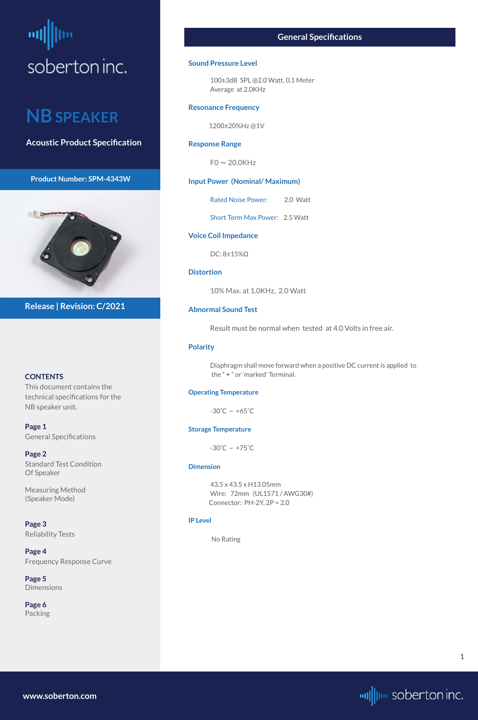# <span id="page-0-0"></span>soberton inc.

## **NB SPEAKER**

**Acoustic Product Specification**

**Product Number: SPM-4343W** 



#### **CONTENTS**

This document contains the technical specifications for the NB speaker unit.

**[Page 5](#page-4-0) [Dimensions](#page-4-0)** 

**Page 1** General Specifications

**[Page 2](#page-1-0)** Standard Test Condition Of Speaker

Measuring Method (Speaker Mode)

**[Page 3](#page-2-0)** [Reliability Test](#page-2-0)s

#### **[Page 4](#page-3-0)** [Frequency Response Curve](#page-3-0)

**[Page 6](#page-5-0)** [Packing](#page-5-0)

**Release | Revision: C/2021**

#### **General Specifications**

#### **Sound Pressure Level**

100±3dB SPL @2.0 Watt, 0.1 Meter Average at 2.0KHz

#### **Resonance Frequency**

1200±20%Hz @1V

#### **Response Range**

 $FO \sim 20.0K$ Hz

**Input Power (Nominal/ Maximum)**

Rated Noise Power: 2.0 Watt

Short Term Max Power: 2.5 Watt

**Voice Coil Impedance**

DC: 8±15%Ω

#### **Distortion**

10% Max. at 1.0KHz, 2.0 Watt

#### **Abnormal Sound Test**

Result must be normal when tested at 4.0 Volts in free air.

#### **Polarity**

Diaphragm shall move forward when a positive DC current is applied to the " **+** " or 'marked' Terminal.

#### **Operating Temperature**

 $-30^{\circ}$ C ~  $+65^{\circ}$ C

#### **Storage Temperature**

 $-30^{\circ}$ C ~  $+75^{\circ}$ C

#### **Dimension**

43.5 x 43.5 x H13.05mm Wire: 72mm (UL1571 / AWG30#) Connector: PH-2Y, 2P = 2.0

#### **IP Level**

No Rating

**[www.soberton.com](http://www.soberton.com)**



**1**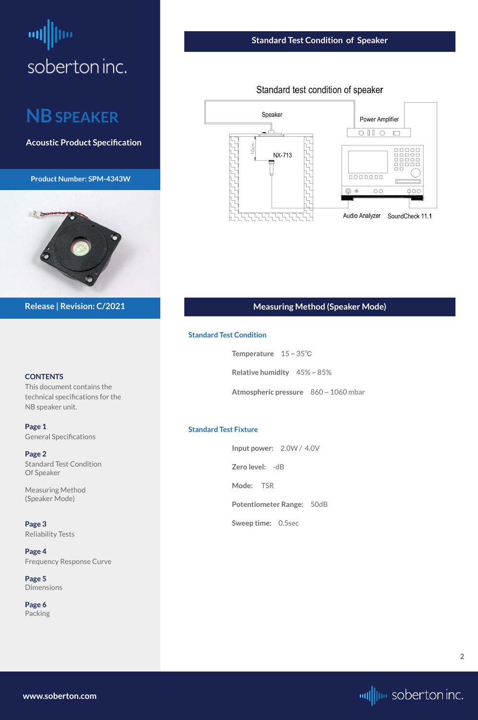# <span id="page-1-0"></span>soberton inc.

## **NB SPEAKER**

**Acoustic Product Specification**

**Product Number: SPM-4343W** 



#### **CONTENTS**

This document contains the technical specifications for the NB speaker unit.

**[Page 5](#page-4-0) [Dimensions](#page-4-0)** 

**[Page 1](#page-0-0)** [General S](#page-0-0)pecifications

**Page 2** Standard Test Condition Of Speaker

Measuring Method (Speaker Mode)

**[Page 3](#page-2-0)** [Reliability Test](#page-2-0)s

#### **[Page 4](#page-3-0)** [Frequency Response Curve](#page-3-0)

**[Page 6](#page-5-0)** [Packing](#page-5-0)

**Release | Revision: C/2021**

#### **Standard Test Condition of Speaker**

Standard test condition of speaker



**[www.soberton.com](http://www.soberton.com)**



#### **Measuring Method (Speaker Mode)**

#### **Standard Test Condition**

**Temperature** 15 ~ 35℃

**Relative humidity** 45% ~ 85%

**Atmospheric pressure** 860 ~ 1060 mbar

#### **Standard Test Fixture**

**Input power:** 2.0W / 4.0V **Zero level:** -dB **Mode:** TSR **Potentiometer Range:** 50dB **Sweep time:** 0.5sec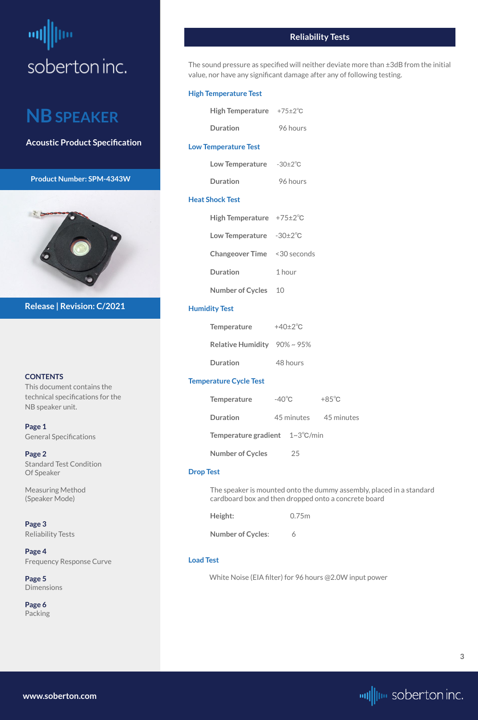# <span id="page-2-0"></span>щ soberton inc.

## **NB SPEAKER**

**Acoustic Product Specification**

**Product Number: SPM-4343W** 



#### **CONTENTS**

This document contains the technical specifications for the NB speaker unit.

**[Page 1](#page-0-0)** [General S](#page-0-0)pecifications

**[Page 2](#page-1-0)** Standard Test Condition Of Speaker

Measuring Method (Speaker Mode)

**Page 3** Reliability Tests

**[Page 4](#page-3-0)** [Frequency Response Curve](#page-3-0)

**[Page 5](#page-4-0)** [Dimensions](#page-4-0)

**[Page 6](#page-5-0)** [Packing](#page-5-0)

**Release | Revision: C/2021**

#### **Reliability Tests**

The sound pressure as specified will neither deviate more than ±3dB from the initial value, nor have any significant damage after any of following testing.

#### **High Temperature Test**

| High Temperature $+75\pm2\degree$ C |          |
|-------------------------------------|----------|
| <b>Duration</b>                     | 96 hours |
| <b>Low Temperature Test</b>         |          |

| <b>Low Temperature</b> | $-30\pm2\degree$ C |
|------------------------|--------------------|
| <b>Duration</b>        | 96 hours           |

#### **Heat Shock Test**

| High Temperature $+75\pm2\degree$ C |        |
|-------------------------------------|--------|
| Low Temperature $-30\pm2^{\circ}C$  |        |
| <b>Changeover Time</b> <30 seconds  |        |
| Duration                            | 1 hour |
| <b>Number of Cycles</b>             | 10     |

#### **Humidity Test**

| <b>Temperature</b>                 | $+40\pm2\degree C$ |
|------------------------------------|--------------------|
| Relative Humidity $90\% \sim 95\%$ |                    |
| <b>Duration</b>                    | 48 hours           |

#### **Temperature Cycle Test**

| <b>Temperature</b>                              | $-40^{\circ}$ C | $+85^{\circ}$ C |
|-------------------------------------------------|-----------------|-----------------|
| Duration                                        | 45 minutes      | 45 minutes      |
| <b>Temperature gradient</b> $1~3^{\circ}$ C/min |                 |                 |
| <b>Number of Cycles</b>                         | ント              |                 |

#### **Drop Test**

The speaker is mounted onto the dummy assembly, placed in a standard cardboard box and then dropped onto a concrete board

| 원 사 |
|-----|
|-----|

**Height:** 0.75m

**Number of Cycles**: 6

#### **Load Test**

White Noise (EIA filter) for 96 hours @2.0W input power

**[www.soberton.com](http://www.soberton.com)**

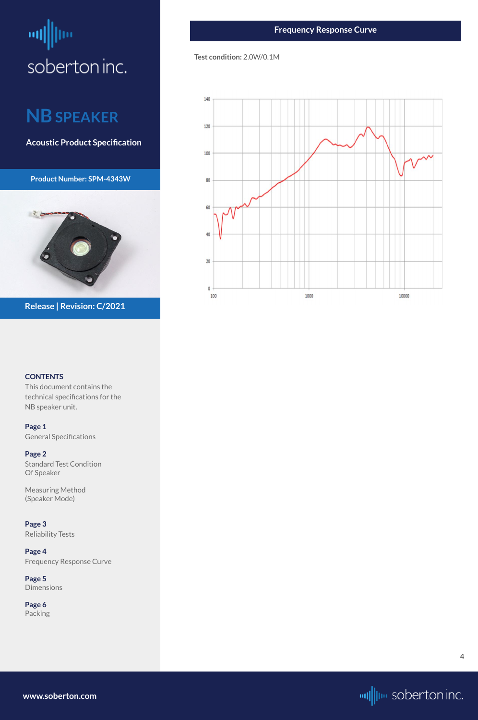# <span id="page-3-0"></span>щļ soberton inc.

## **NB SPEAKER**

**Acoustic Product Specification**

**Product Number: SPM-4343W** 



#### **CONTENTS**

This document contains the technical specifications for the NB speaker unit.

**[Page 1](#page-0-0)** [General S](#page-0-0)pecifications

**[Page 2](#page-1-0)** Standard Test Condition Of Speaker

Measuring Method (Speaker Mode)

**[Page 3](#page-2-0)** [Reliability Test](#page-2-0)s

#### **Page 4** Frequency Response Curve

**[Page 5](#page-4-0)** [Dimensions](#page-4-0)

**[Page 6](#page-5-0)** [Packing](#page-5-0)

**Release | Revision: C/2021**

**[www.soberton.com](http://www.soberton.com)**



**4**

#### **Test condition:** 2.0W/0.1M

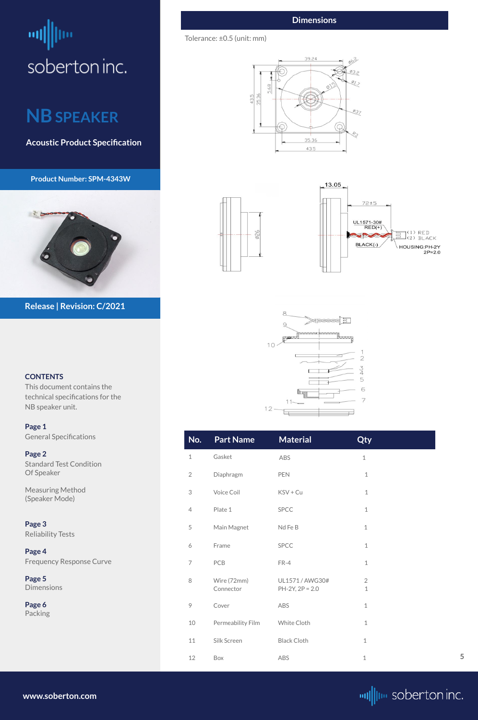# <span id="page-4-0"></span>щ soberton inc.

## **NB SPEAKER**

**Acoustic Product Specification**

**Product Number: SPM-4343W** 



#### **CONTENTS**

This document contains the technical specifications for the NB speaker unit.

**[Page 1](#page-0-0)** [General S](#page-0-0)pecifications

**[Page 2](#page-1-0)** Standard Test Condition Of Speaker

Measuring Method (Speaker Mode)

**[Page 3](#page-2-0)** [Reliability Test](#page-2-0)s

| Page 4                          |  |
|---------------------------------|--|
| <b>Frequency Response Curve</b> |  |

**Page 5** Dimensions

**[Page 6](#page-5-0)** [Packing](#page-5-0)

**Release | Revision: C/2021**

**[www.soberton.com](http://www.soberton.com)**



| No.                       | <b>Part Name</b>         | <b>Material</b>                      | Qty                           |
|---------------------------|--------------------------|--------------------------------------|-------------------------------|
| $\mathbf 1$               | Gasket                   | ABS                                  | $1\,$                         |
| $\overline{2}$            | Diaphragm                | PEN                                  | $\,1\,$                       |
| $\ensuremath{\mathsf{3}}$ | Voice Coil               | KSV + Cu                             | $1\,$                         |
| $\overline{4}$            | Plate 1                  | <b>SPCC</b>                          | $\,1\,$                       |
| $\mathfrak s$             | Main Magnet              | Nd Fe B                              | $\mathbf 1$                   |
| 6                         | Frame                    | <b>SPCC</b>                          | $\mathbf 1$                   |
| $\overline{ }$            | PCB                      | $FR-4$                               | $\,1\,$                       |
| 8                         | Wire (72mm)<br>Connector | UL1571 / AWG30#<br>$PH-2Y, 2P = 2.0$ | $\overline{2}$<br>$\mathbf 1$ |
| $\circ$                   | Cover                    | ABS                                  | $\,1\,$                       |
| $10\,$                    | Permeability Film        | White Cloth                          | $\,1\,$                       |
| $11\,$                    | Silk Screen              | <b>Black Cloth</b>                   | $\mathbf 1$                   |
| 12                        | Box                      | ABS                                  | $\,1\,$                       |

#### **Dimensions**

Tolerance: ±0.5 (unit: mm)

 $\phi$ 26